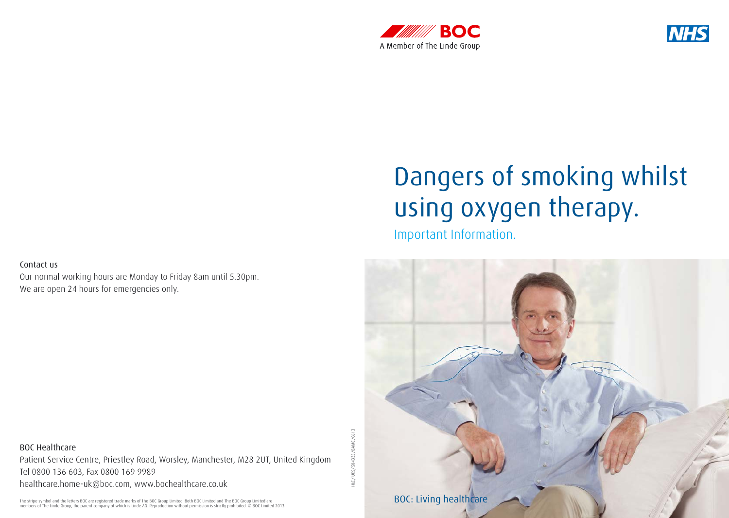



# Dangers of smoking whilst using oxygen therapy.

Important Information.



Our normal working hours are Monday to Friday 8am until 5.30pm. We are open 24 hours for emergencies only.

BOC Healthcare Patient Service Centre, Priestley Road, Worsley, Manchester, M28 2UT, United Kingdom Tel 0800 136 603, Fax 0800 169 9989 healthcare.home-uk@boc.com, www.bochealthcare.co.uk

The stripe symbol and the letters BOC are registered trade marks of The BOC Group Limited. Both BOC Limited and The BOC Group Limited are<br>members of The Linde Group, the parent company of which is Linde AG. Reproduction wi

HLC/UKS/504335/BAMC/0613 HLC/ UKS/504335/BAMC/0613

Phone +01.123.4567-890, Fax +01.123.4567-890, Fax +01.123.4567-891, Washington +01.123.4567-891, Washington +01.123.4567-891, Washington +01.123.4567-891, Washington +01.123.4567-891, Washington +01.123.4567-891, Washingto

Sample Division or Unit, Sample Street 123, 12345 Sample City, Country